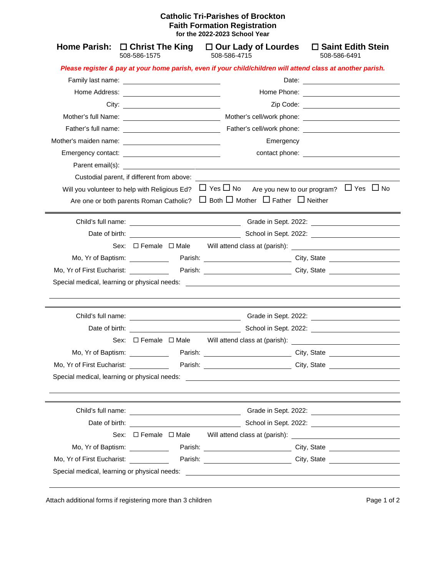## **Catholic Tri-Parishes of Brockton Faith Formation Registration for the 2022-2023 School Year**

| Home Parish: $\square$ Christ The King   | 508-586-1575                                |         | $\Box$ Our Lady of Lourdes<br>508-586-4715                                                                                                                                                                                      | $\Box$ Saint Edith Stein<br>508-586-6491 |
|------------------------------------------|---------------------------------------------|---------|---------------------------------------------------------------------------------------------------------------------------------------------------------------------------------------------------------------------------------|------------------------------------------|
|                                          |                                             |         | Please register & pay at your home parish, even if your child/children will attend class at another parish.                                                                                                                     |                                          |
|                                          |                                             |         |                                                                                                                                                                                                                                 |                                          |
|                                          | Home Address: <u>______________________</u> |         |                                                                                                                                                                                                                                 |                                          |
|                                          |                                             |         |                                                                                                                                                                                                                                 |                                          |
|                                          |                                             |         |                                                                                                                                                                                                                                 |                                          |
|                                          |                                             |         |                                                                                                                                                                                                                                 |                                          |
|                                          |                                             |         | Emergency                                                                                                                                                                                                                       |                                          |
|                                          |                                             |         |                                                                                                                                                                                                                                 |                                          |
|                                          |                                             |         |                                                                                                                                                                                                                                 |                                          |
|                                          |                                             |         | Custodial parent, if different from above: The state of the state of the state of the state of the state of the state of the state of the state of the state of the state of the state of the state of the state of the state   |                                          |
|                                          |                                             |         | Will you volunteer to help with Religious Ed? $\Box$ Yes $\Box$ No Are you new to our program? $\Box$ Yes $\Box$ No                                                                                                             |                                          |
|                                          |                                             |         | Are one or both parents Roman Catholic? $\Box$ Both $\Box$ Mother $\Box$ Father $\Box$ Neither                                                                                                                                  |                                          |
|                                          |                                             |         |                                                                                                                                                                                                                                 |                                          |
|                                          |                                             |         |                                                                                                                                                                                                                                 | Date of birth: School in Sept. 2022:     |
|                                          |                                             |         |                                                                                                                                                                                                                                 |                                          |
|                                          |                                             |         | Sex: □ Female □ Male Will attend class at (parish): ___________________________                                                                                                                                                 |                                          |
|                                          |                                             |         | Mo, Yr of Baptism: Parish: Parish: City, State City, State                                                                                                                                                                      |                                          |
|                                          |                                             |         |                                                                                                                                                                                                                                 |                                          |
|                                          |                                             |         |                                                                                                                                                                                                                                 |                                          |
|                                          |                                             |         |                                                                                                                                                                                                                                 |                                          |
|                                          |                                             |         | Date of birth: <u>Date of birth:</u> School in Sept. 2022:                                                                                                                                                                      |                                          |
|                                          |                                             |         | Sex: $\Box$ Female $\Box$ Male Will attend class at (parish):                                                                                                                                                                   | Grade in Sept. 2022: 2022:               |
| Mo, Yr of Baptism: <u>______________</u> |                                             |         | Parish: City, State City, State                                                                                                                                                                                                 |                                          |
| Mo, Yr of First Eucharist: ____________  |                                             | Parish: |                                                                                                                                                                                                                                 | City, State                              |
|                                          |                                             |         | Special medical, learning or physical needs:<br>The contract of the contract of the contract of the contract of the contract of the contract of the contract of the contract of the contract of the contract of the contract of |                                          |
|                                          |                                             |         |                                                                                                                                                                                                                                 |                                          |
|                                          | Child's full name:                          |         |                                                                                                                                                                                                                                 | Grade in Sept. 2022: 2022.               |
|                                          |                                             |         | Date of birth: School in Sept. 2022:                                                                                                                                                                                            |                                          |
|                                          |                                             |         | Sex: □ Female □ Male Will attend class at (parish): ____________________________                                                                                                                                                |                                          |
| Mo, Yr of Baptism: <u>______________</u> |                                             |         | Parish: City, State City, State                                                                                                                                                                                                 |                                          |

Attach additional forms if registering more than 3 children **Page 1** of 2